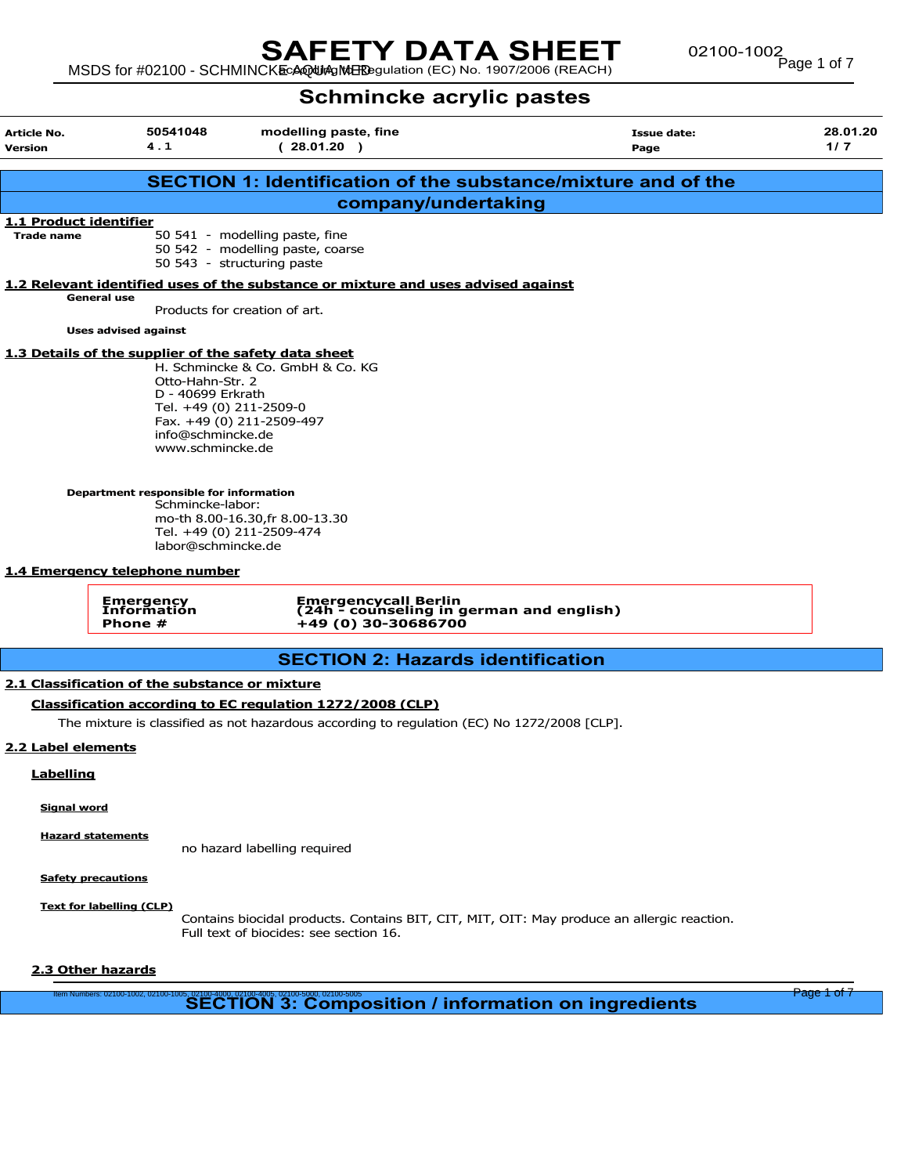# **SAFETY DATA SHEET** 02100-1002<br>MSDS for #02100 - SCHMINCKEcAQUAgINERPgulation (EC) No. 1907/2006 (REACH)

02100-1002<br>Page 1 of 7

# Schmincke acrylic pastes

| <b>Article No.</b><br><b>Version</b>                                                                                                             | 50541048<br>4.1                                                                                                                                                   | modelling paste, fine<br>(28.01.20)                                                                                                                             | <b>Issue date:</b><br>Page                                                                 | 28.01.20<br>1/7 |  |  |
|--------------------------------------------------------------------------------------------------------------------------------------------------|-------------------------------------------------------------------------------------------------------------------------------------------------------------------|-----------------------------------------------------------------------------------------------------------------------------------------------------------------|--------------------------------------------------------------------------------------------|-----------------|--|--|
|                                                                                                                                                  |                                                                                                                                                                   |                                                                                                                                                                 | <b>SECTION 1: Identification of the substance/mixture and of the</b>                       |                 |  |  |
|                                                                                                                                                  |                                                                                                                                                                   | company/undertaking                                                                                                                                             |                                                                                            |                 |  |  |
| <b>1.1 Product identifier</b>                                                                                                                    |                                                                                                                                                                   |                                                                                                                                                                 |                                                                                            |                 |  |  |
| <b>Trade name</b>                                                                                                                                |                                                                                                                                                                   | 50 541 - modelling paste, fine<br>50 542 - modelling paste, coarse<br>50 543 - structuring paste                                                                |                                                                                            |                 |  |  |
|                                                                                                                                                  |                                                                                                                                                                   | 1.2 Relevant identified uses of the substance or mixture and uses advised against                                                                               |                                                                                            |                 |  |  |
|                                                                                                                                                  | <b>General use</b>                                                                                                                                                | Products for creation of art.                                                                                                                                   |                                                                                            |                 |  |  |
|                                                                                                                                                  | <b>Uses advised against</b>                                                                                                                                       |                                                                                                                                                                 |                                                                                            |                 |  |  |
|                                                                                                                                                  | 1.3 Details of the supplier of the safety data sheet<br>Otto-Hahn-Str. 2<br>D - 40699 Erkrath<br>Tel. +49 (0) 211-2509-0<br>info@schmincke.de<br>www.schmincke.de | H. Schmincke & Co. GmbH & Co. KG<br>Fax. +49 (0) 211-2509-497                                                                                                   |                                                                                            |                 |  |  |
| Department responsible for information<br>Schmincke-labor:<br>mo-th 8.00-16.30, fr 8.00-13.30<br>Tel. +49 (0) 211-2509-474<br>labor@schmincke.de |                                                                                                                                                                   |                                                                                                                                                                 |                                                                                            |                 |  |  |
|                                                                                                                                                  | 1.4 Emergency telephone number                                                                                                                                    |                                                                                                                                                                 |                                                                                            |                 |  |  |
|                                                                                                                                                  | Emergency<br>Informatión<br>Phone #                                                                                                                               | <b>Emergencycall Berlin</b><br>(24h - counseling in german and english)<br>+49 (0) 30-30686700                                                                  |                                                                                            |                 |  |  |
|                                                                                                                                                  |                                                                                                                                                                   | <b>SECTION 2: Hazards identification</b>                                                                                                                        |                                                                                            |                 |  |  |
| 2.2 Label elements<br>Labelling                                                                                                                  | 2.1 Classification of the substance or mixture                                                                                                                    | <b>Classification according to EC regulation 1272/2008 (CLP)</b><br>The mixture is classified as not hazardous according to regulation (EC) No 1272/2008 [CLP]. |                                                                                            |                 |  |  |
| <b>Signal word</b>                                                                                                                               |                                                                                                                                                                   |                                                                                                                                                                 |                                                                                            |                 |  |  |
|                                                                                                                                                  | <b>Hazard statements</b>                                                                                                                                          | no hazard labelling required                                                                                                                                    |                                                                                            |                 |  |  |
|                                                                                                                                                  | <b>Safety precautions</b>                                                                                                                                         |                                                                                                                                                                 |                                                                                            |                 |  |  |
|                                                                                                                                                  | <b>Text for labelling (CLP)</b>                                                                                                                                   | Full text of biocides: see section 16.                                                                                                                          | Contains biocidal products. Contains BIT, CIT, MIT, OIT: May produce an allergic reaction. |                 |  |  |
| 2.3 Other hazards                                                                                                                                |                                                                                                                                                                   |                                                                                                                                                                 |                                                                                            |                 |  |  |
|                                                                                                                                                  |                                                                                                                                                                   | llem Numbers: 02100-1002, 02100-1005, 02100-4000, 02100-4005, 02100-5005, 02100-5005<br>SECTION 3: Composition / information on ingredients                     |                                                                                            | Page 1 of 7     |  |  |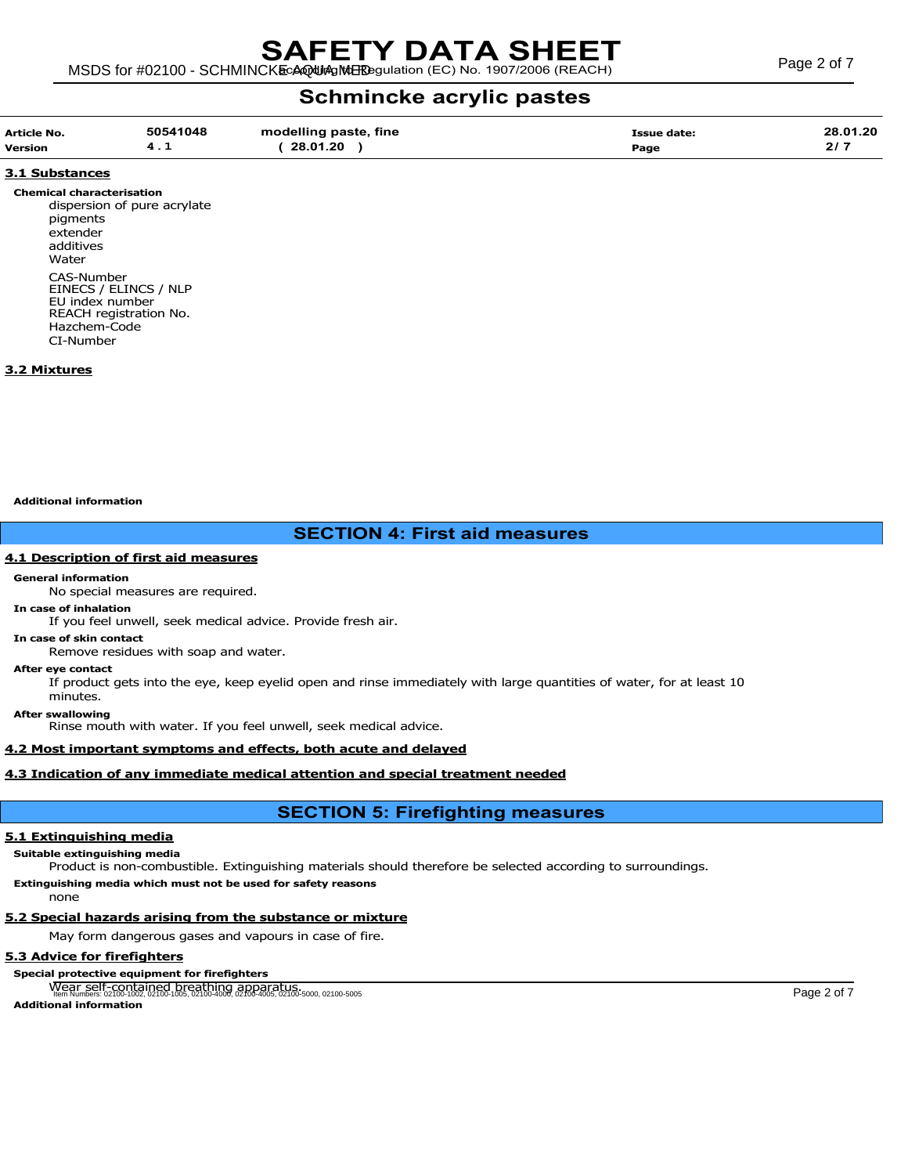| 28.01.20<br>50541048<br>modelling paste, fine |
|-----------------------------------------------|
|-----------------------------------------------|

# 3.1 Substances

Chemical characterisation dispersion of pure acrylate pigments extender additives Water CAS-Number EINECS / ELINCS / NLP EU index number REACH registration No. Hazchem-Code CI-Number

# 3.2 Mixtures

Additional information

# SECTION 4: First aid measures

# 4.1 Description of first aid measures

#### General information

No special measures are required.

## In case of inhalation

If you feel unwell, seek medical advice. Provide fresh air.

In case of skin contact Remove residues with soap and water.

# After eye contact

If product gets into the eye, keep eyelid open and rinse immediately with large quantities of water, for at least 10 minutes.

After swallowing

Rinse mouth with water. If you feel unwell, seek medical advice.

# 4.2 Most important symptoms and effects, both acute and delayed

# 4.3 Indication of any immediate medical attention and special treatment needed

# SECTION 5: Firefighting measures

# 5.1 Extinguishing media

# Suitable extinguishing media

Product is non-combustible. Extinguishing materials should therefore be selected according to surroundings. Extinguishing media which must not be used for safety reasons

none

# 5.2 Special hazards arising from the substance or mixture

May form dangerous gases and vapours in case of fire.

# 5.3 Advice for firefighters

# Special protective equipment for firefighters

Wear self-contained breathing apparatus. Item Numbers: 02100-1002, 02100-1005, 02100-4000, 02100-4005, 02100-5000, 02100-5005 Page 2 of 7

Additional information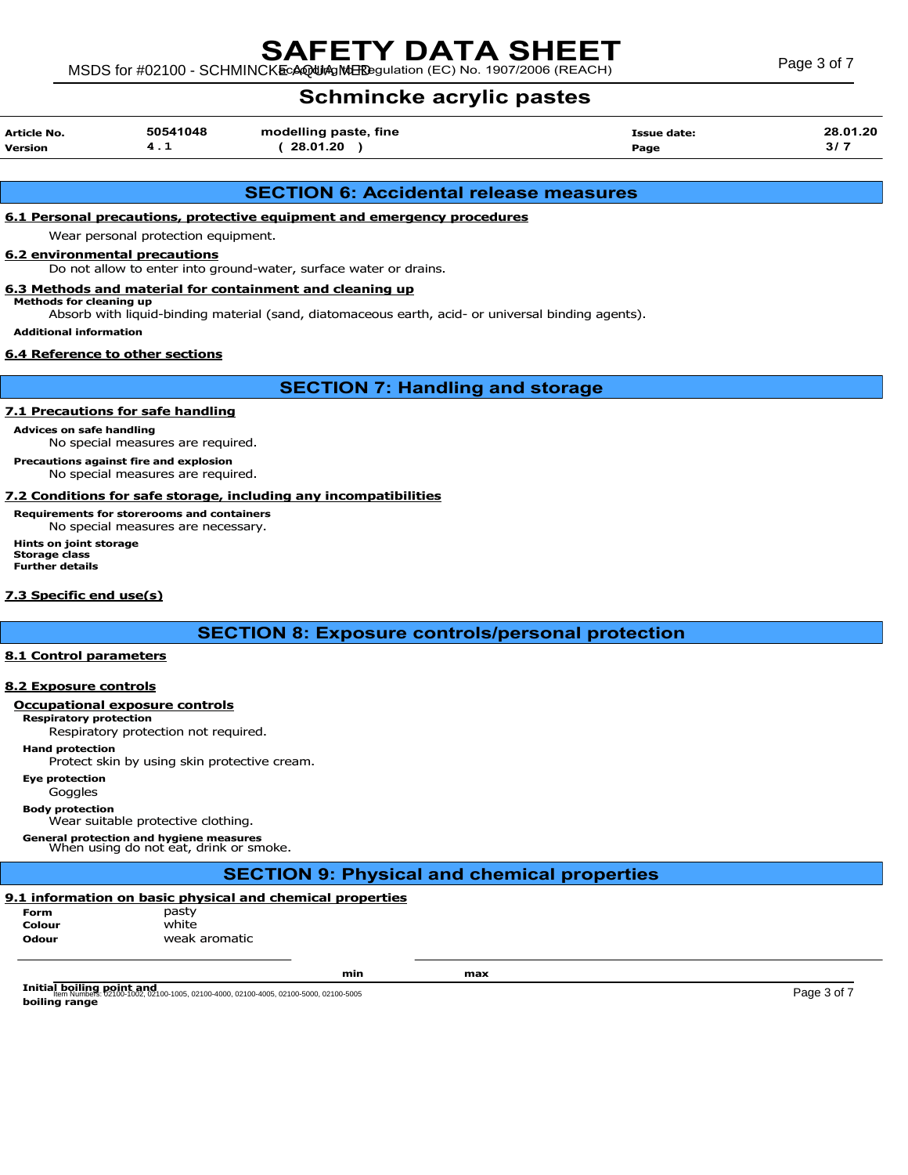# SAFETY DATA SHEET

MSDS for #02100 - SCHMINCKE AQUA MERE SURFACE C) No. 1907/2006 (REACH) Page 3 of 7

# Schmincke acrylic pastes

| Article No. | 50541048 | modelling paste, fine | Issue date: | 28.01.20 |
|-------------|----------|-----------------------|-------------|----------|
| Version     | 4. L     | 28.01.20              | Page        |          |

# SECTION 6: Accidental release measures

# 6.1 Personal precautions, protective equipment and emergency procedures

Wear personal protection equipment.

# 6.2 environmental precautions

Do not allow to enter into ground-water, surface water or drains.

#### 6.3 Methods and material for containment and cleaning up Methods for cleaning up

Absorb with liquid-binding material (sand, diatomaceous earth, acid- or universal binding agents).

Additional information

# 6.4 Reference to other sections

SECTION 7: Handling and storage

# 7.1 Precautions for safe handling

Advices on safe handling

No special measures are required.

Precautions against fire and explosion No special measures are required.

# 7.2 Conditions for safe storage, including any incompatibilities

Requirements for storerooms and containers No special measures are necessary. Hints on joint storage

Storage class Further details

# 7.3 Specific end use(s)

SECTION 8: Exposure controls/personal protection

## 8.1 Control parameters

# 8.2 Exposure controls

# Occupational exposure controls

Respiratory protection Respiratory protection not required.

Hand protection

Protect skin by using skin protective cream.

Eye protection

Goggles

Body protection

Wear suitable protective clothing.

General protection and hygiene measures When using do not eat, drink or smoke.

# SECTION 9: Physical and chemical properties

# 9.1 information on basic physical and chemical properties

Form pasty Colour white **Odour weak aromatic** 

min max

**Initial boiling point and**<br>Item Numbers: 02100-1002, 02100-1005, 02100-4000, 02100-4005, 02100-5000, 02100-5005<br>Page 3 of 7 boiling range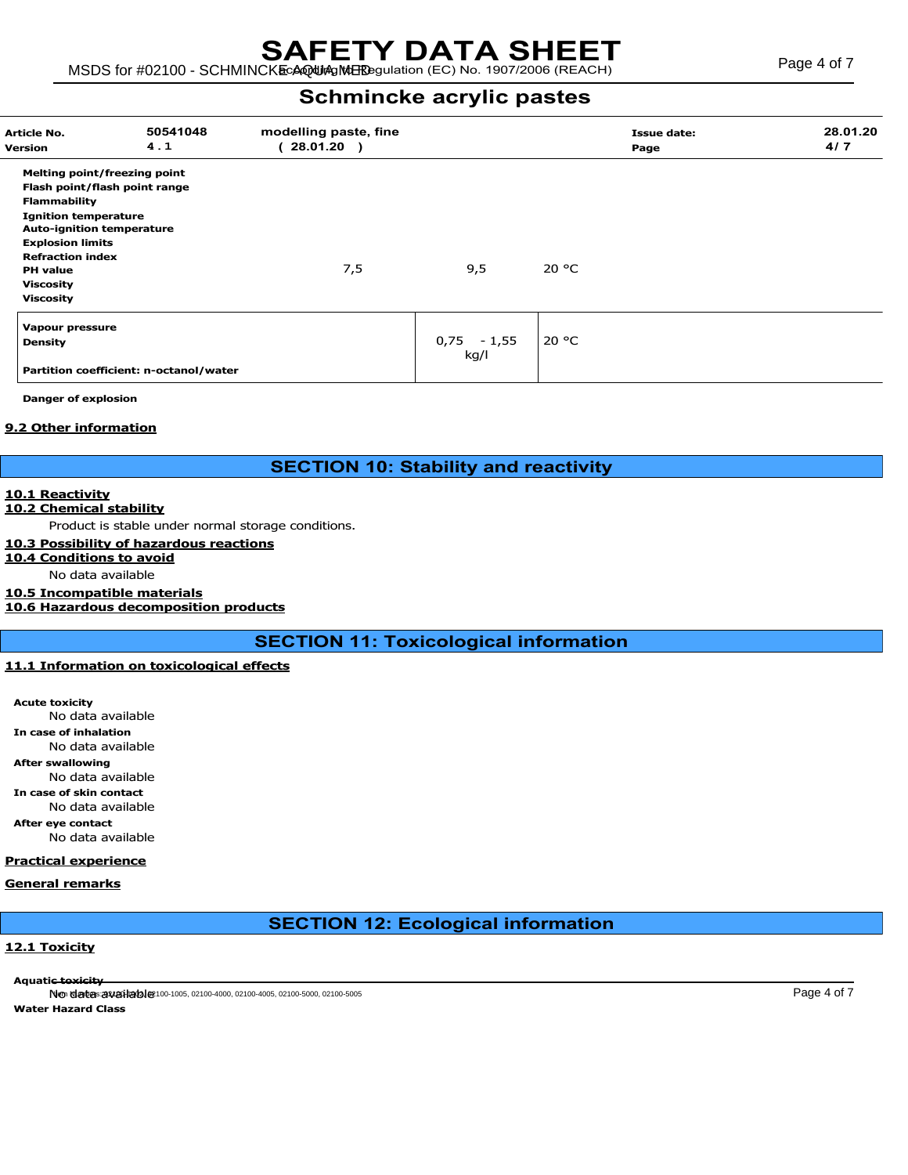| Article No.<br>Version           | 50541048<br>4.1                        | modelling paste, fine<br>28.01.20 ) |               | Page  | <b>Issue date:</b> | 28.01.20<br>4/7 |
|----------------------------------|----------------------------------------|-------------------------------------|---------------|-------|--------------------|-----------------|
| Melting point/freezing point     |                                        |                                     |               |       |                    |                 |
| Flash point/flash point range    |                                        |                                     |               |       |                    |                 |
| <b>Flammability</b>              |                                        |                                     |               |       |                    |                 |
| <b>Ignition temperature</b>      |                                        |                                     |               |       |                    |                 |
| <b>Auto-ignition temperature</b> |                                        |                                     |               |       |                    |                 |
| <b>Explosion limits</b>          |                                        |                                     |               |       |                    |                 |
| <b>Refraction index</b>          |                                        |                                     |               |       |                    |                 |
| <b>PH</b> value                  |                                        | 7,5                                 | 9,5           | 20 °C |                    |                 |
| <b>Viscosity</b>                 |                                        |                                     |               |       |                    |                 |
| <b>Viscosity</b>                 |                                        |                                     |               |       |                    |                 |
| Vapour pressure                  |                                        |                                     |               |       |                    |                 |
| <b>Density</b>                   |                                        |                                     | $0,75 - 1,55$ | 20 °C |                    |                 |
|                                  |                                        |                                     | kg/l          |       |                    |                 |
|                                  | Partition coefficient: n-octanol/water |                                     |               |       |                    |                 |

Danger of explosion

# 9.2 Other information

# SECTION 10: Stability and reactivity

# 10.1 Reactivity

# 10.2 Chemical stability

Product is stable under normal storage conditions.

# 10.3 Possibility of hazardous reactions

10.4 Conditions to avoid

No data available

## 10.5 Incompatible materials

# 10.6 Hazardous decomposition products

SECTION 11: Toxicological information

# 11.1 Information on toxicological effects

Acute toxicity No data available In case of inhalation No data available After swallowing No data available In case of skin contact

No data available

After eye contact No data available

## Practical experience

# General remarks

# SECTION 12: Ecological information

# 12.1 Toxicity

Aquati<del>c toxicity</del>

 $N$ ത യിമാം <mark>320 വിൽ നിയ</mark>മിയും 00-1005, 02100-4000, 02100-5000, 02100-5005 Page 4 of 7 Water Hazard Class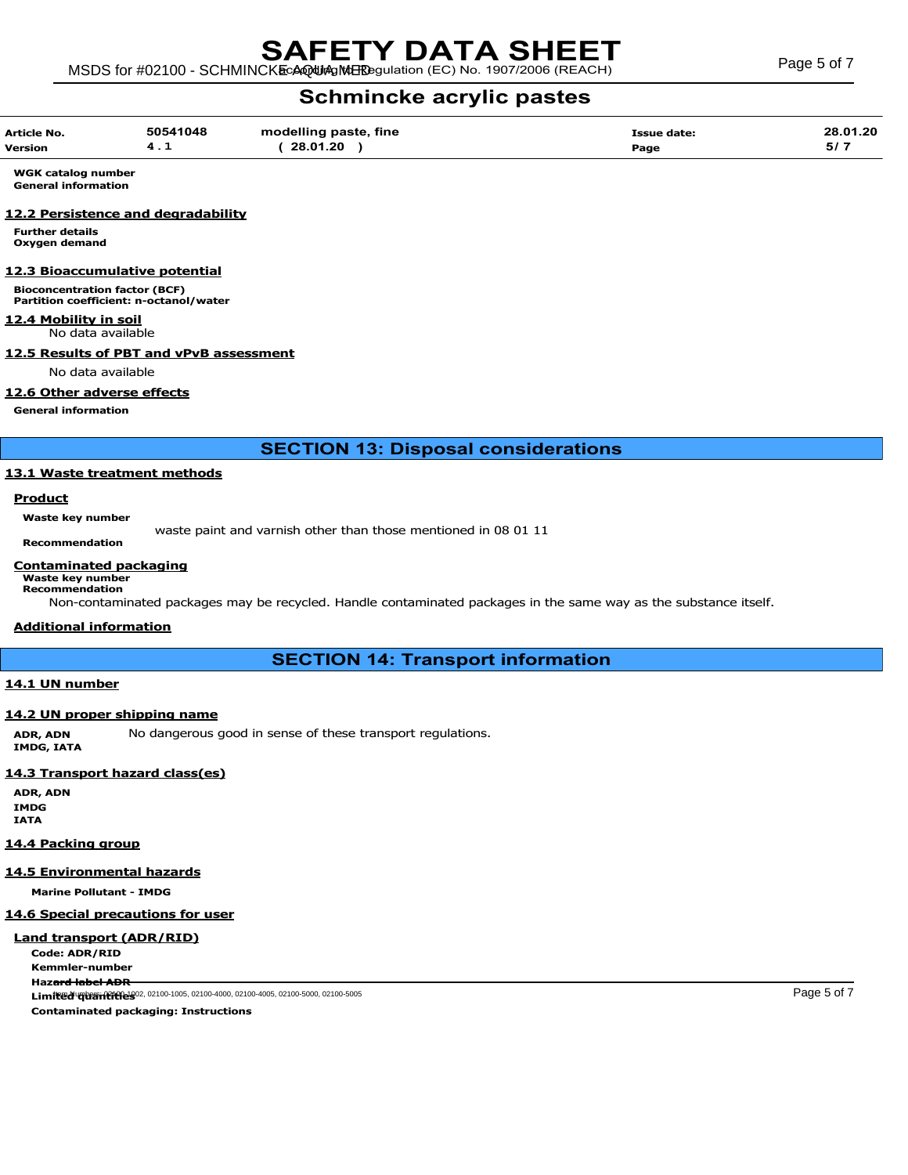| Article No.    | 50541048 | modelling paste, fine | <b>Issue date:</b> | 28.01.20 |
|----------------|----------|-----------------------|--------------------|----------|
| <b>Version</b> | . .      | 28.01.20              | Page               | 5/7      |

WGK catalog number General information

# 12.2 Persistence and degradability

Further details Oxygen demand

# 12.3 Bioaccumulative potential

Bioconcentration factor (BCF) Partition coefficient: n-octanol/water

12.4 Mobility in soil

# No data available

# 12.5 Results of PBT and vPvB assessment

No data available

# 12.6 Other adverse effects

General information

SECTION 13: Disposal considerations

# 13.1 Waste treatment methods

# **Product**

Waste key number

waste paint and varnish other than those mentioned in 08 01 11 Recommendation

# Contaminated packaging

Waste key number Recommendation

Non-contaminated packages may be recycled. Handle contaminated packages in the same way as the substance itself.

# Additional information

SECTION 14: Transport information

# 14.1 UN number

# 14.2 UN proper shipping name

ADR, ADN No dangerous good in sense of these transport regulations. IMDG, IATA

# 14.3 Transport hazard class(es)

ADR, ADN IMDG IATA

## 14.4 Packing group

## 14.5 Environmental hazards

Marine Pollutant - IMDG

# 14.6 Special precautions for user

# Land transport (ADR/RID)

Code: ADR/RID Kemmler-number Hazard label ADR Limited  $q$ uquantities and the Section 1005, 02100-4000, 02100-4005, 02100-5000, 02100-5005 Page 5 of 7 Contaminated packaging: Instructions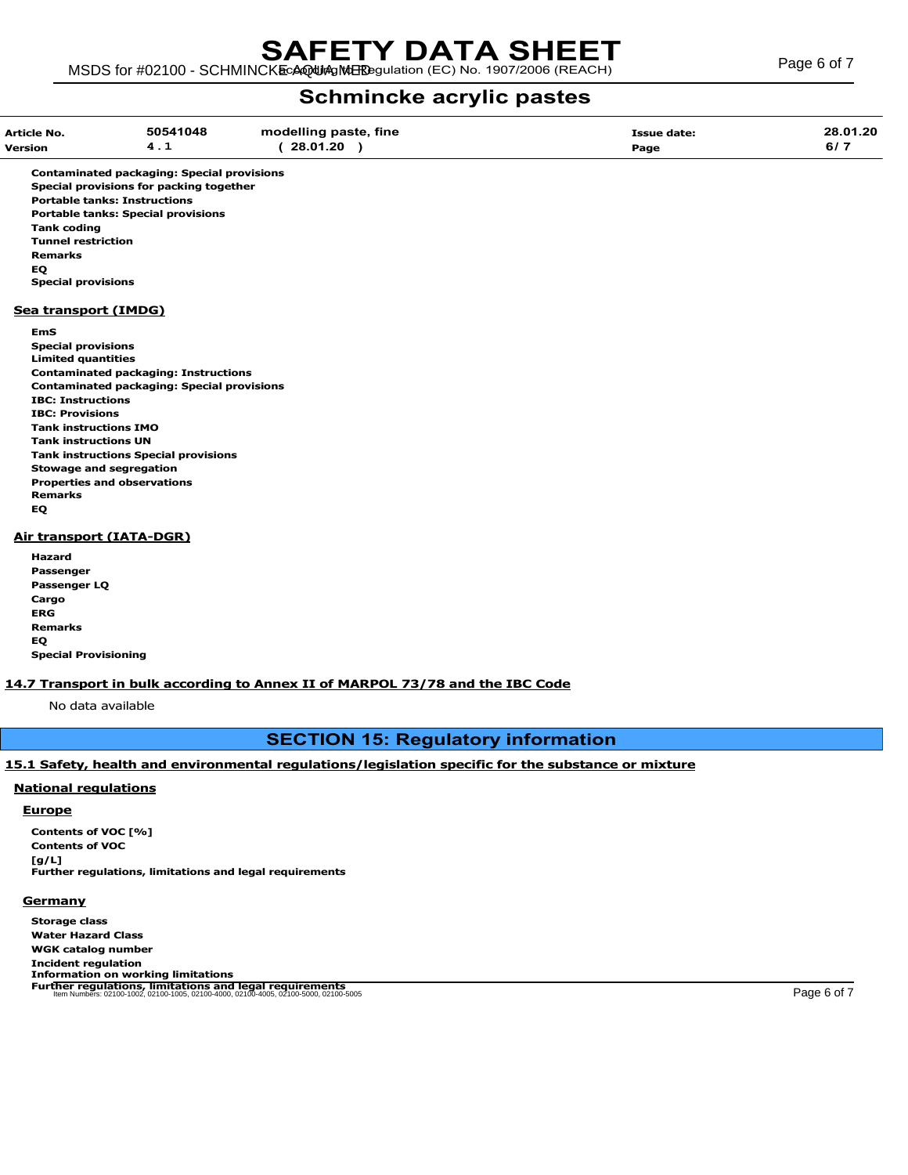| <b>Article No.</b><br><b>Version</b>                                                                                                                                                                                                                                                                                                                       | 50541048<br>4.1                                                                                  | modelling paste, fine<br>(28.01.20) | <b>Issue date:</b><br>Page | 28.01.20<br>6/7 |
|------------------------------------------------------------------------------------------------------------------------------------------------------------------------------------------------------------------------------------------------------------------------------------------------------------------------------------------------------------|--------------------------------------------------------------------------------------------------|-------------------------------------|----------------------------|-----------------|
| <b>Portable tanks: Instructions</b><br><b>Portable tanks: Special provisions</b><br><b>Tank coding</b><br><b>Tunnel restriction</b><br><b>Remarks</b><br>EQ.<br><b>Special provisions</b>                                                                                                                                                                  | <b>Contaminated packaging: Special provisions</b><br>Special provisions for packing together     |                                     |                            |                 |
| Sea transport (IMDG)<br><b>EmS</b><br><b>Special provisions</b><br><b>Limited quantities</b><br><b>IBC: Instructions</b><br><b>IBC: Provisions</b><br><b>Tank instructions IMO</b><br><b>Tank instructions UN</b><br><b>Tank instructions Special provisions</b><br><b>Stowage and segregation</b><br><b>Properties and observations</b><br><b>Remarks</b> | <b>Contaminated packaging: Instructions</b><br><b>Contaminated packaging: Special provisions</b> |                                     |                            |                 |
| EQ<br><b>Air transport (IATA-DGR)</b><br>Hazard<br>Passenger<br><b>Passenger LO</b><br>Cargo                                                                                                                                                                                                                                                               |                                                                                                  |                                     |                            |                 |

ERG Remarks EQ Special Provisioning

# 14.7 Transport in bulk according to Annex II of MARPOL 73/78 and the IBC Code

No data available

# SECTION 15: Regulatory information

# 15.1 Safety, health and environmental regulations/legislation specific for the substance or mixture

# National regulations

# Europe

Contents of VOC [%] Contents of VOC [g/L] Further regulations, limitations and legal requirements

# **Germany**

Storage class Water Hazard Class WGK catalog number Incident regulation Information on working limitations<br>Further regulations, limitations and legal requirements<br>ltem Numbers: 02100-1002, 02100-1005, 02100-4005, 02100-5000, 02100-5005 Page 6 of 7